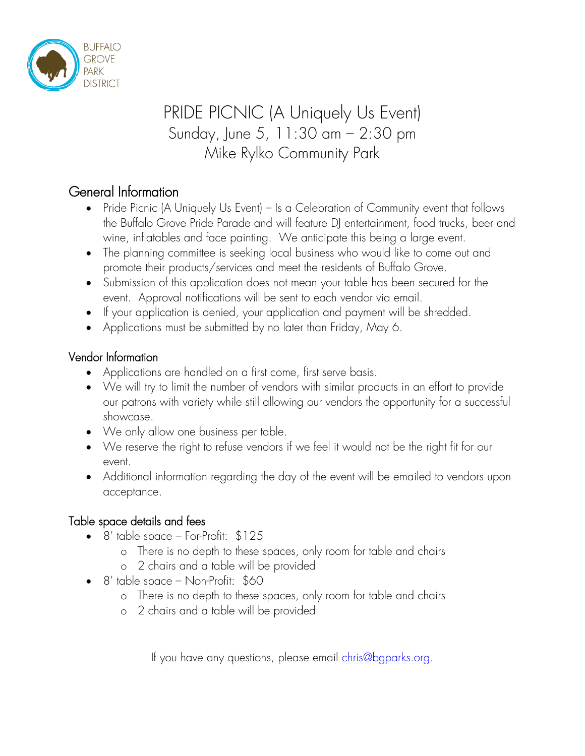

# PRIDE PICNIC (A Uniquely Us Event) Sunday, June 5, 11:30 am – 2:30 pm Mike Rylko Community Park

### General Information

- Pride Picnic (A Uniquely Us Event) Is a Celebration of Community event that follows the Buffalo Grove Pride Parade and will feature DJ entertainment, food trucks, beer and wine, inflatables and face painting. We anticipate this being a large event.
- The planning committee is seeking local business who would like to come out and promote their products/services and meet the residents of Buffalo Grove.
- Submission of this application does not mean your table has been secured for the event. Approval notifications will be sent to each vendor via email.
- If your application is denied, your application and payment will be shredded.
- Applications must be submitted by no later than Friday, May 6.

#### Vendor Information

- Applications are handled on a first come, first serve basis.
- We will try to limit the number of vendors with similar products in an effort to provide our patrons with variety while still allowing our vendors the opportunity for a successful showcase.
- We only allow one business per table.
- We reserve the right to refuse vendors if we feel it would not be the right fit for our event.
- Additional information regarding the day of the event will be emailed to vendors upon acceptance.

#### Table space details and fees

- $\bullet$  8' table space For-Profit:  $$125$ 
	- o There is no depth to these spaces, only room for table and chairs
	- o 2 chairs and a table will be provided
- $\bullet$  8' table space Non-Profit: \$60
	- o There is no depth to these spaces, only room for table and chairs
	- o 2 chairs and a table will be provided

If you have any questions, please email [chris@bgparks.org.](mailto:chris@bgparks.org)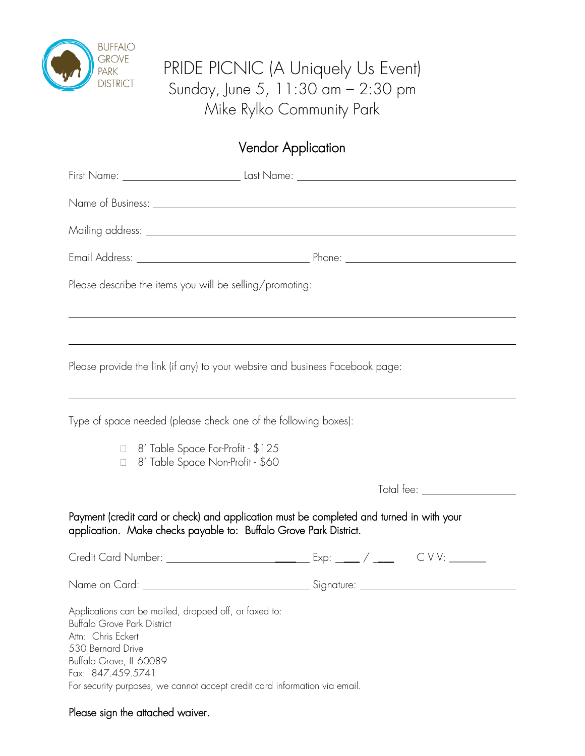

## PRIDE PICNIC (A Uniquely Us Event) Sunday, June 5, 11:30 am – 2:30 pm Mike Rylko Community Park

## Vendor Application

| Please describe the items you will be selling/promoting:                                                                                                                                                                                                             |                                    |
|----------------------------------------------------------------------------------------------------------------------------------------------------------------------------------------------------------------------------------------------------------------------|------------------------------------|
|                                                                                                                                                                                                                                                                      |                                    |
| Please provide the link (if any) to your website and business Facebook page:                                                                                                                                                                                         |                                    |
| Type of space needed (please check one of the following boxes):                                                                                                                                                                                                      |                                    |
| □ 8' Table Space For-Profit - \$125<br>□ 8' Table Space Non-Profit - \$60                                                                                                                                                                                            |                                    |
|                                                                                                                                                                                                                                                                      | Total fee: <u>________________</u> |
| Payment (credit card or check) and application must be completed and turned in with your<br>application. Make checks payable to: Buffalo Grove Park District.                                                                                                        |                                    |
|                                                                                                                                                                                                                                                                      |                                    |
|                                                                                                                                                                                                                                                                      |                                    |
| Applications can be mailed, dropped off, or faxed to:<br><b>Buffalo Grove Park District</b><br>Attn: Chris Eckert<br>530 Bernard Drive<br>Buffalo Grove, IL 60089<br>Fax: 847.459.5741<br>For security purposes, we cannot accept credit card information via email. |                                    |

Please sign the attached waiver.